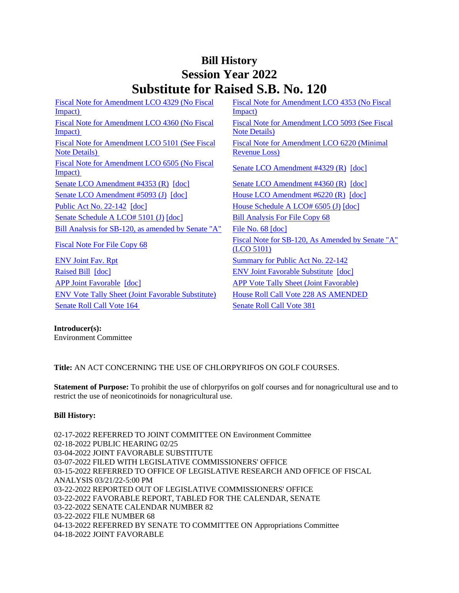## **Bill History Session Year 2022 Substitute for Raised S.B. No. 120**

[Fiscal Note for Amendment LCO 4329 \(No Fiscal](/2022/fna/pdf/2022SB-00120-R00LCO04329-FNA.pdf)  Impact) [Fiscal Note for Amendment LCO 4353 \(No Fiscal](/2022/fna/pdf/2022SB-00120-R00LCO04353-FNA.pdf)  [Impact\)](/2022/fna/pdf/2022SB-00120-R00LCO04353-FNA.pdf)  [Fiscal Note for Amendment LCO 4360 \(No Fiscal](/2022/fna/pdf/2022SB-00120-R00LCO04360-FNA.pdf)  [Impact\)](/2022/fna/pdf/2022SB-00120-R00LCO04360-FNA.pdf)  [Fiscal Note for Amendment LCO 5093 \(See Fiscal](/2022/fna/pdf/2022SB-00120-R00LCO05093-FNA.PDF)  [Note Details\)](/2022/fna/pdf/2022SB-00120-R00LCO05093-FNA.PDF)  [Fiscal Note for Amendment LCO 5101 \(See Fiscal](/2022/fna/pdf/2022SB-00120-R00LCO05101-FNA.pdf)  [Note Details\)](/2022/fna/pdf/2022SB-00120-R00LCO05101-FNA.pdf)  [Fiscal Note for Amendment LCO 6220 \(Minimal](/2022/fna/pdf/2022SB-00120-R00LCO06220-FNA.pdf)  [Revenue Loss\)](/2022/fna/pdf/2022SB-00120-R00LCO06220-FNA.pdf)  [Fiscal Note for Amendment LCO 6505 \(No Fiscal](/2022/fna/pdf/2022SB-00120-R00LCO06505-FNA.PDF)  <u>Senate LCO Amendment #4329 (R)</u> [\[doc\]](https://search.cga.state.ct.us/dl2022/aml/doc/2022LCO04329-R00-AMD.DOCX)<br>Impact) [Senate LCO Amendment #4353 \(R\)](/2022/lcoamd/pdf/2022LCO04353-R00-AMD.pdf) [\[doc\]](https://search.cga.state.ct.us/dl2022/aml/doc/2022LCO04360-R00-AMD.DOCX) [Senate LCO Amendment #4360 \(R\)](/2022/lcoamd/pdf/2022LCO04360-R00-AMD.pdf) [doc] [Senate LCO Amendment #5093 \(J\)](/2022/lcoamd/pdf/2022LCO05093-R00-AMD.pdf) [\[doc\]](https://search.cga.state.ct.us/dl2022/aml/doc/2022LCO06220-R00-AMD.DOCX) [House LCO Amendment #6220 \(R\)](/2022/lcoamd/pdf/2022LCO06220-R00-AMD.pdf) [doc] [Public Act No. 22-142](/2022/ACT/PA/PDF/2022PA-00142-R00SB-00120-PA.PDF) [\[doc\]](https://search.cga.state.ct.us/dl2022/AMd/DOC/2022SB-00120-R00HA-AMD.Docx) [House Schedule A LCO# 6505 \(J\)](/2022/amd/S/pdf/2022SB-00120-R00HA-AMD.pdf) [doc] [Senate Schedule A LCO# 5101 \(J\)](/2022/amd/S/pdf/2022SB-00120-R00SA-AMD.pdf) [\[doc\]](https://search.cga.state.ct.us/dl2022/AMd/DOC/2022SB-00120-R00SA-AMD.Docx) [Bill Analysis For File Copy 68](/2022/BA/PDF/2022SB-00120-R000068-BA.PDF) [Bill Analysis for SB-120, as amended by Senate "A"](/2022/BA/PDF/2022SB-00120-R01-BA.PDF) [File No. 68](/2022/FC/PDF/2022SB-00120-R000068-FC.PDF) [\[doc\]](https://search.cga.state.ct.us/dl2022/fc/doc/2022SB-00120-R000068-FC.docx) [Fiscal Note For File Copy 68](/2022/FN/PDF/2022SB-00120-R000068-FN.PDF) Fiscal Note for SB-120, As Amended by Senate "A" [\(LCO 5101\)](/2022/FN/PDF/2022SB-00120-R01-FN.PDF) [ENV Joint Fav. Rpt](/2022/JFR/S/PDF/2022SB-00120-R00ENV-JFR.PDF) [Summary for Public Act No. 22-142](/2022/SUM/PDF/2022SUM00142-R02SB-00120-SUM.PDF) [Raised Bill](/2022/TOB/S/PDF/2022SB-00120-R00-SB.PDF) [\[doc\]](https://search.cga.state.ct.us/dl2022/TOB/DOC/2022SB-00120-R01-SB.DOCX) **ENV Joint Favorable Substitute** [doc] [APP Joint Favorable](/2022/TOB/S/PDF/2022SB-00120-R02-SB.PDF) [\[doc\]](https://search.cga.state.ct.us/dl2022/TOB/DOC/2022SB-00120-R02-SB.DOCX) [APP Vote Tally Sheet \(Joint Favorable\)](/2022/TS/S/PDF/2022SB-00120-R00APP-CV84-TS.PDF) [ENV Vote Tally Sheet \(Joint Favorable Substitute\)](/2022/TS/S/PDF/2022SB-00120-R00ENV-CV40-TS.PDF) [House Roll Call Vote 228 AS AMENDED](/2022/VOTE/H/PDF/2022HV-00228-R00SB00120-HV.PDF) 

[Senate Roll Call Vote 164](/2022/VOTE/S/PDF/2022SV-00164-R00SB00120-SV.PDF) Senate Roll Call Vote 381

**Introducer(s):** Environment Committee

**Title:** AN ACT CONCERNING THE USE OF CHLORPYRIFOS ON GOLF COURSES.

**Statement of Purpose:** To prohibit the use of chlorpyrifos on golf courses and for nonagricultural use and to restrict the use of neonicotinoids for nonagricultural use.

## **Bill History:**

02-17-2022 REFERRED TO JOINT COMMITTEE ON Environment Committee 02-18-2022 PUBLIC HEARING 02/25 03-04-2022 JOINT FAVORABLE SUBSTITUTE 03-07-2022 FILED WITH LEGISLATIVE COMMISSIONERS' OFFICE 03-15-2022 REFERRED TO OFFICE OF LEGISLATIVE RESEARCH AND OFFICE OF FISCAL ANALYSIS 03/21/22-5:00 PM 03-22-2022 REPORTED OUT OF LEGISLATIVE COMMISSIONERS' OFFICE 03-22-2022 FAVORABLE REPORT, TABLED FOR THE CALENDAR, SENATE 03-22-2022 SENATE CALENDAR NUMBER 82 03-22-2022 FILE NUMBER 68 04-13-2022 REFERRED BY SENATE TO COMMITTEE ON Appropriations Committee 04-18-2022 JOINT FAVORABLE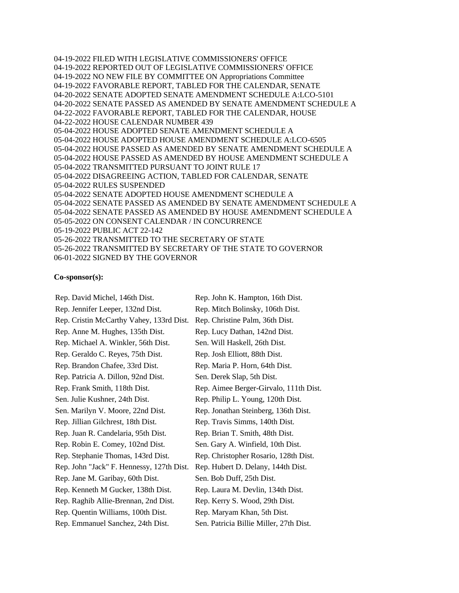04-19-2022 FILED WITH LEGISLATIVE COMMISSIONERS' OFFICE 04-19-2022 REPORTED OUT OF LEGISLATIVE COMMISSIONERS' OFFICE 04-19-2022 NO NEW FILE BY COMMITTEE ON Appropriations Committee 04-19-2022 FAVORABLE REPORT, TABLED FOR THE CALENDAR, SENATE 04-20-2022 SENATE ADOPTED SENATE AMENDMENT SCHEDULE A:LCO-5101 04-20-2022 SENATE PASSED AS AMENDED BY SENATE AMENDMENT SCHEDULE A 04-22-2022 FAVORABLE REPORT, TABLED FOR THE CALENDAR, HOUSE 04-22-2022 HOUSE CALENDAR NUMBER 439 05-04-2022 HOUSE ADOPTED SENATE AMENDMENT SCHEDULE A 05-04-2022 HOUSE ADOPTED HOUSE AMENDMENT SCHEDULE A:LCO-6505 05-04-2022 HOUSE PASSED AS AMENDED BY SENATE AMENDMENT SCHEDULE A 05-04-2022 HOUSE PASSED AS AMENDED BY HOUSE AMENDMENT SCHEDULE A 05-04-2022 TRANSMITTED PURSUANT TO JOINT RULE 17 05-04-2022 DISAGREEING ACTION, TABLED FOR CALENDAR, SENATE 05-04-2022 RULES SUSPENDED 05-04-2022 SENATE ADOPTED HOUSE AMENDMENT SCHEDULE A 05-04-2022 SENATE PASSED AS AMENDED BY SENATE AMENDMENT SCHEDULE A 05-04-2022 SENATE PASSED AS AMENDED BY HOUSE AMENDMENT SCHEDULE A 05-05-2022 ON CONSENT CALENDAR / IN CONCURRENCE 05-19-2022 PUBLIC ACT 22-142 05-26-2022 TRANSMITTED TO THE SECRETARY OF STATE 05-26-2022 TRANSMITTED BY SECRETARY OF THE STATE TO GOVERNOR 06-01-2022 SIGNED BY THE GOVERNOR

## **Co-sponsor(s):**

Rep. David Michel, 146th Dist. Rep. John K. Hampton, 16th Dist. Rep. Jennifer Leeper, 132nd Dist. Rep. Mitch Bolinsky, 106th Dist. Rep. Cristin McCarthy Vahey, 133rd Dist. Rep. Christine Palm, 36th Dist. Rep. Anne M. Hughes, 135th Dist. Rep. Lucy Dathan, 142nd Dist. Rep. Michael A. Winkler, 56th Dist. Sen. Will Haskell, 26th Dist. Rep. Geraldo C. Reyes, 75th Dist. Rep. Josh Elliott, 88th Dist. Rep. Brandon Chafee, 33rd Dist. Rep. Maria P. Horn, 64th Dist. Rep. Patricia A. Dillon, 92nd Dist. Sen. Derek Slap, 5th Dist. Rep. Frank Smith, 118th Dist. Rep. Aimee Berger-Girvalo, 111th Dist. Sen. Julie Kushner, 24th Dist. Rep. Philip L. Young, 120th Dist. Sen. Marilyn V. Moore, 22nd Dist. Rep. Jonathan Steinberg, 136th Dist. Rep. Jillian Gilchrest, 18th Dist. Rep. Travis Simms, 140th Dist. Rep. Juan R. Candelaria, 95th Dist. Rep. Brian T. Smith, 48th Dist. Rep. Robin E. Comey, 102nd Dist. Sen. Gary A. Winfield, 10th Dist. Rep. Stephanie Thomas, 143rd Dist. Rep. Christopher Rosario, 128th Dist. Rep. John "Jack" F. Hennessy, 127th Dist. Rep. Hubert D. Delany, 144th Dist. Rep. Jane M. Garibay, 60th Dist. Sen. Bob Duff, 25th Dist. Rep. Kenneth M Gucker, 138th Dist. Rep. Laura M. Devlin, 134th Dist. Rep. Raghib Allie-Brennan, 2nd Dist. Rep. Kerry S. Wood, 29th Dist. Rep. Quentin Williams, 100th Dist. Rep. Maryam Khan, 5th Dist. Rep. Emmanuel Sanchez, 24th Dist. Sen. Patricia Billie Miller, 27th Dist.